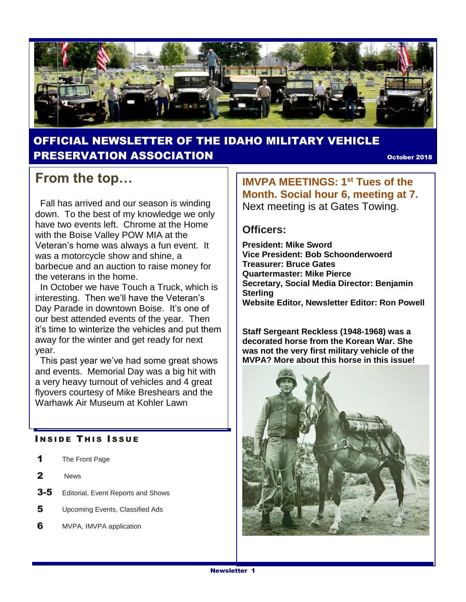

### OFFICIAL NEWSLETTER OF THE IDAHO MILITARY VEHICLE **PRESERVATION ASSOCIATION CONSUMING THE CONSUMING OCTOBER 2018**

## **From the top…**

 Fall has arrived and our season is winding down. To the best of my knowledge we only have two events left. Chrome at the Home with the Boise Valley POW MIA at the Veteran's home was always a fun event. It was a motorcycle show and shine, a barbecue and an auction to raise money for the veterans in the home.

In October we have Touch a Truck, which is interesting. Then we'll have the Veteran's Day Parade in downtown Boise. It's one of our best attended events of the year. Then it's time to winterize the vehicles and put them away for the winter and get ready for next year.

 This past year we've had some great shows and events. Memorial Day was a big hit with a very heavy turnout of vehicles and 4 great flyovers courtesy of Mike Breshears and the Warhawk Air Museum at Kohler Lawn

#### **INSIDE THIS ISSUE**

- 1 The Front Page
- 2 News
- **3-5** Editorial, Event Reports and Shows
- 5 Upcoming Events, Classified Ads
- **6** MVPA, IMVPA application

**IMVPA MEETINGS: 1st Tues of the Month. Social hour 6, meeting at 7.**  Next meeting is at Gates Towing.

#### **Officers:**

**President: Mike Sword Vice President: Bob Schoonderwoerd Treasurer: Bruce Gates Quartermaster: Mike Pierce Secretary, Social Media Director: Benjamin Sterling Website Editor, Newsletter Editor: Ron Powell**

**Staff Sergeant Reckless (1948-1968) was a decorated horse from the Korean War. She was not the very first military vehicle of the MVPA? More about this horse in this issue!**

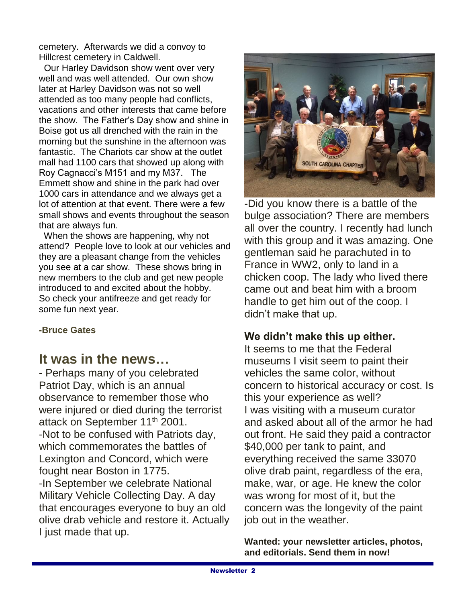cemetery. Afterwards we did a convoy to Hillcrest cemetery in Caldwell.

 Our Harley Davidson show went over very well and was well attended. Our own show later at Harley Davidson was not so well attended as too many people had conflicts, vacations and other interests that came before the show. The Father's Day show and shine in Boise got us all drenched with the rain in the morning but the sunshine in the afternoon was fantastic. The Chariots car show at the outlet mall had 1100 cars that showed up along with Roy Cagnacci's M151 and my M37. The Emmett show and shine in the park had over 1000 cars in attendance and we always get a lot of attention at that event. There were a few small shows and events throughout the season that are always fun.

 When the shows are happening, why not attend? People love to look at our vehicles and they are a pleasant change from the vehicles you see at a car show. These shows bring in new members to the club and get new people introduced to and excited about the hobby. So check your antifreeze and get ready for some fun next year.

#### **-Bruce Gates**

### **It was in the news…**

- Perhaps many of you celebrated Patriot Day, which is an annual observance to remember those who were injured or died during the terrorist attack on September 11<sup>th</sup> 2001. -Not to be confused with Patriots day, which commemorates the battles of Lexington and Concord, which were fought near Boston in 1775. -In September we celebrate National Military Vehicle Collecting Day. A day that encourages everyone to buy an old olive drab vehicle and restore it. Actually I just made that up.



-Did you know there is a battle of the bulge association? There are members all over the country. I recently had lunch with this group and it was amazing. One gentleman said he parachuted in to France in WW2, only to land in a chicken coop. The lady who lived there came out and beat him with a broom handle to get him out of the coop. I didn't make that up.

### **We didn't make this up either.**

It seems to me that the Federal museums I visit seem to paint their vehicles the same color, without concern to historical accuracy or cost. Is this your experience as well? I was visiting with a museum curator and asked about all of the armor he had out front. He said they paid a contractor \$40,000 per tank to paint, and everything received the same 33070 olive drab paint, regardless of the era, make, war, or age. He knew the color was wrong for most of it, but the concern was the longevity of the paint job out in the weather.

**Wanted: your newsletter articles, photos, and editorials. Send them in now!**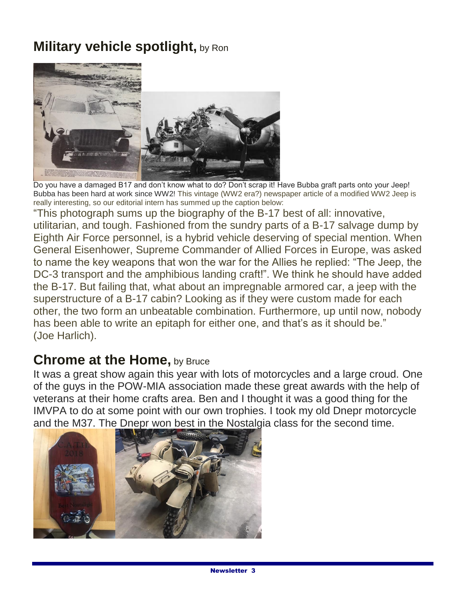# **Military vehicle spotlight, by Ron**



Do you have a damaged B17 and don't know what to do? Don't scrap it! Have Bubba graft parts onto your Jeep! Bubba has been hard at work since WW2! This vintage (WW2 era?) newspaper article of a modified WW2 Jeep is really interesting, so our editorial intern has summed up the caption below:

"This photograph sums up the biography of the B-17 best of all: innovative, utilitarian, and tough. Fashioned from the sundry parts of a B-17 salvage dump by Eighth Air Force personnel, is a hybrid vehicle deserving of special mention. When General Eisenhower, Supreme Commander of Allied Forces in Europe, was asked to name the key weapons that won the war for the Allies he replied: "The Jeep, the DC-3 transport and the amphibious landing craft!". We think he should have added the B-17. But failing that, what about an impregnable armored car, a jeep with the superstructure of a B-17 cabin? Looking as if they were custom made for each other, the two form an unbeatable combination. Furthermore, up until now, nobody has been able to write an epitaph for either one, and that's as it should be." (Joe Harlich).

## **Chrome at the Home, by Bruce**

It was a great show again this year with lots of motorcycles and a large croud. One of the guys in the POW-MIA association made these great awards with the help of veterans at their home crafts area. Ben and I thought it was a good thing for the IMVPA to do at some point with our own trophies. I took my old Dnepr motorcycle and the M37. The Dnepr won best in the Nostalgia class for the second time.

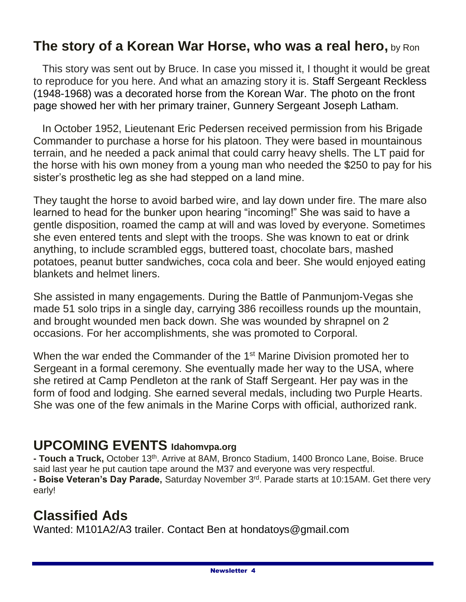## **The story of a Korean War Horse, who was a real hero,** by Ron

 This story was sent out by Bruce. In case you missed it, I thought it would be great to reproduce for you here. And what an amazing story it is. Staff Sergeant Reckless (1948-1968) was a decorated horse from the Korean War. The photo on the front page showed her with her primary trainer, Gunnery Sergeant Joseph Latham.

 In October 1952, Lieutenant Eric Pedersen received permission from his Brigade Commander to purchase a horse for his platoon. They were based in mountainous terrain, and he needed a pack animal that could carry heavy shells. The LT paid for the horse with his own money from a young man who needed the \$250 to pay for his sister's prosthetic leg as she had stepped on a land mine.

They taught the horse to avoid barbed wire, and lay down under fire. The mare also learned to head for the bunker upon hearing "incoming!" She was said to have a gentle disposition, roamed the camp at will and was loved by everyone. Sometimes she even entered tents and slept with the troops. She was known to eat or drink anything, to include scrambled eggs, buttered toast, chocolate bars, mashed potatoes, peanut butter sandwiches, coca cola and beer. She would enjoyed eating blankets and helmet liners.

She assisted in many engagements. During the Battle of Panmunjom-Vegas she made 51 solo trips in a single day, carrying 386 recoilless rounds up the mountain, and brought wounded men back down. She was wounded by shrapnel on 2 occasions. For her accomplishments, she was promoted to Corporal.

When the war ended the Commander of the 1<sup>st</sup> Marine Division promoted her to Sergeant in a formal ceremony. She eventually made her way to the USA, where she retired at Camp Pendleton at the rank of Staff Sergeant. Her pay was in the form of food and lodging. She earned several medals, including two Purple Hearts. She was one of the few animals in the Marine Corps with official, authorized rank.

## **UPCOMING EVENTS Idahomvpa.org**

**- Touch a Truck,** October 13<sup>th</sup>. Arrive at 8AM, Bronco Stadium, 1400 Bronco Lane, Boise. Bruce said last year he put caution tape around the M37 and everyone was very respectful. **- Boise Veteran's Day Parade,** Saturday November 3rd. Parade starts at 10:15AM. Get there very early!

## **Classified Ads**

Wanted: M101A2/A3 trailer. Contact Ben at hondatoys@gmail.com